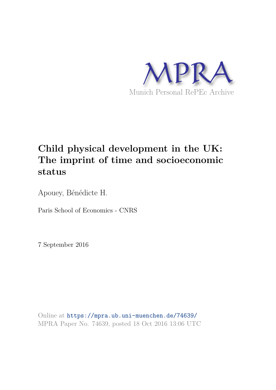

# **Child physical development in the UK: The imprint of time and socioeconomic status**

Apouey, Bénédicte H.

Paris School of Economics - CNRS

7 September 2016

Online at https://mpra.ub.uni-muenchen.de/74639/ MPRA Paper No. 74639, posted 18 Oct 2016 13:06 UTC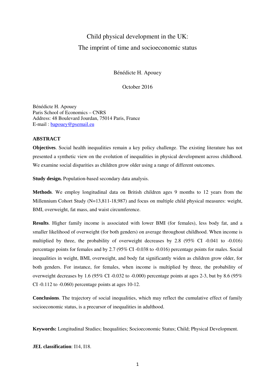## Child physical development in the UK: The imprint of time and socioeconomic status

Bénédicte H. Apouey

October 2016

Bénédicte H. Apouey Paris School of Economics – CNRS Address: 48 Boulevard Jourdan, 75014 Paris, France E-mail : bapouey@psemail.eu

#### **ABSTRACT**

**Objectives**. Social health inequalities remain a key policy challenge. The existing literature has not presented a synthetic view on the evolution of inequalities in physical development across childhood. We examine social disparities as children grow older using a range of different outcomes.

**Study design.** Population-based secondary data analysis.

**Methods**. We employ longitudinal data on British children ages 9 months to 12 years from the Millennium Cohort Study (N=13,811-18,987) and focus on multiple child physical measures: weight, BMI, overweight, fat mass, and waist circumference.

**Results**. Higher family income is associated with lower BMI (for females), less body fat, and a smaller likelihood of overweight (for both genders) on average throughout childhood. When income is multiplied by three, the probability of overweight decreases by 2.8 (95% CI -0.041 to -0.016) percentage points for females and by 2.7 (95% CI -0.038 to -0.016) percentage points for males. Social inequalities in weight, BMI, overweight, and body fat significantly widen as children grow older, for both genders. For instance, for females, when income is multiplied by three, the probability of overweight decreases by 1.6 (95% CI -0.032 to -0.000) percentage points at ages 2-3, but by 8.6 (95% CI -0.112 to -0.060) percentage points at ages 10-12.

**Conclusions**. The trajectory of social inequalities, which may reflect the cumulative effect of family socioeconomic status, is a precursor of inequalities in adulthood.

**Keywords:** Longitudinal Studies; Inequalities; Socioeconomic Status; Child; Physical Development.

**JEL classification**: I14, I18.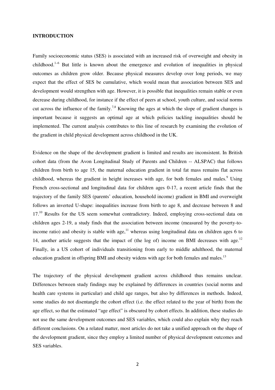#### **INTRODUCTION**

Family socioeconomic status (SES) is associated with an increased risk of overweight and obesity in childhood.<sup>1–6</sup> But little is known about the emergence and evolution of inequalities in physical outcomes as children grow older. Because physical measures develop over long periods, we may expect that the effect of SES be cumulative, which would mean that association between SES and development would strengthen with age. However, it is possible that inequalities remain stable or even decrease during childhood, for instance if the effect of peers at school, youth culture, and social norms cut across the influence of the family.<sup>7,8</sup> Knowing the ages at which the slope of gradient changes is important because it suggests an optimal age at which policies tackling inequalities should be implemented. The current analysis contributes to this line of research by examining the evolution of the gradient in child physical development across childhood in the UK.

Evidence on the shape of the development gradient is limited and results are inconsistent. In British cohort data (from the Avon Longitudinal Study of Parents and Children -- ALSPAC) that follows children from birth to age 15, the maternal education gradient in total fat mass remains flat across childhood, whereas the gradient in height increases with age, for both females and males.<sup>9</sup> Using French cross-sectional and longitudinal data for children ages 0-17, a recent article finds that the trajectory of the family SES (parents' education, household income) gradient in BMI and overweight follows an inverted U-shape: inequalities increase from birth to age 8, and decrease between 8 and 17.<sup>10</sup> Results for the US seem somewhat contradictory. Indeed, employing cross-sectional data on children ages 2-19, a study finds that the association between income (measured by the poverty-toincome ratio) and obesity is stable with age,<sup>11</sup> whereas using longitudinal data on children ages 6 to 14, another article suggests that the impact of (the log of) income on BMI decreases with age.<sup>12</sup> Finally, in a US cohort of individuals transitioning from early to middle adulthood, the maternal education gradient in offspring BMI and obesity widens with age for both females and males.<sup>13</sup>

The trajectory of the physical development gradient across childhood thus remains unclear. Differences between study findings may be explained by differences in countries (social norms and health care systems in particular) and child age ranges, but also by differences in methods. Indeed, some studies do not disentangle the cohort effect (i.e. the effect related to the year of birth) from the age effect, so that the estimated "age effect" is obscured by cohort effects. In addition, these studies do not use the same development outcomes and SES variables, which could also explain why they reach different conclusions. On a related matter, most articles do not take a unified approach on the shape of the development gradient, since they employ a limited number of physical development outcomes and SES variables.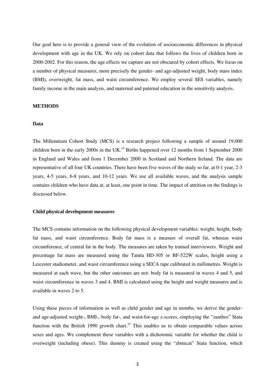Our goal here is to provide a general view of the evolution of socioeconomic differences in physical development with age in the UK. We rely on cohort data that follows the lives of children born in 2000-2002. For this reason, the age effects we capture are not obscured by cohort effects. We focus on a number of physical measures, more precisely the gender- and age-adjusted weight, body mass index (BMI), overweight, fat mass, and waist circumference. We employ several SES variables, namely family income in the main analysis, and maternal and paternal education in the sensitivity analysis.

#### **METHODS**

#### **Data**

The Millennium Cohort Study (MCS) is a research project following a sample of around 19,000 children born in the early 2000s in the UK.<sup>14</sup> Births happened over 12 months from 1 September 2000 in England and Wales and from 1 December 2000 in Scotland and Northern Ireland. The data are representative of all four UK countries. There have been five waves of the study so far, at 0-1 year, 2-3 years, 4-5 years, 6-8 years, and 10-12 years. We use all available waves, and the analysis sample contains children who have data at, at least, one point in time. The impact of attrition on the findings is discussed below.

#### **Child physical development measures**

The MCS contains information on the following physical development variables: weight, height, body fat mass, and waist circumference. Body fat mass is a measure of overall fat, whereas waist circumference, of central fat in the body. The measures are taken by trained interviewers. Weight and percentage fat mass are measured using the Tanita HD-305 or BF-522W scales, height using a Leicester stadiometer, and waist circumference using a SECA tape calibrated in millimetres. Weight is measured at each wave, but the other outcomes are not: body fat is measured in waves 4 and 5, and waist circumference in waves 3 and 4. BMI is calculated using the height and weight measures and is available in waves 2 to 5.

Using these pieces of information as well as child gender and age in months, we derive the genderand age-adjusted weight-, BMI-, body fat-, and waist-for-age z-scores, employing the "zanthro" Stata function with the British 1990 growth chart.<sup>15</sup> This enables us to obtain comparable values across sexes and ages. We complement these variables with a dichotomic variable for whether the child is overweight (including obese). This dummy is created using the "zbmicat" Stata function, which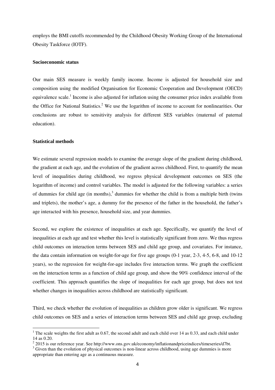employs the BMI cutoffs recommended by the Childhood Obesity Working Group of the International Obesity Taskforce (IOTF).

#### **Socioeconomic status**

Our main SES measure is weekly family income. Income is adjusted for household size and composition using the modified Organisation for Economic Cooperation and Development (OECD) equivalence scale.<sup>1</sup> Income is also adjusted for inflation using the consumer price index available from the Office for National Statistics.<sup>2</sup> We use the logarithm of income to account for nonlinearities. Our conclusions are robust to sensitivity analysis for different SES variables (maternal of paternal education).

#### **Statistical methods**

l

We estimate several regression models to examine the average slope of the gradient during childhood, the gradient at each age, and the evolution of the gradient across childhood. First, to quantify the mean level of inequalities during childhood, we regress physical development outcomes on SES (the logarithm of income) and control variables. The model is adjusted for the following variables: a series of dummies for child age  $(in$  months), $3$  dummies for whether the child is from a multiple birth (twins and triplets), the mother's age, a dummy for the presence of the father in the household, the father's age interacted with his presence, household size, and year dummies.

Second, we explore the existence of inequalities at each age. Specifically, we quantify the level of inequalities at each age and test whether this level is statistically significant from zero. We thus regress child outcomes on interaction terms between SES and child age group, and covariates. For instance, the data contain information on weight-for-age for five age groups (0-1 year, 2-3, 4-5, 6-8, and 10-12 years), so the regression for weight-for-age includes five interaction terms. We graph the coefficient on the interaction terms as a function of child age group, and show the 90% confidence interval of the coefficient. This approach quantifies the slope of inequalities for each age group, but does not test whether changes in inequalities across childhood are statistically significant.

Third, we check whether the evolution of inequalities as children grow older is significant. We regress child outcomes on SES and a series of interaction terms between SES and child age group, excluding

<sup>&</sup>lt;sup>1</sup> The scale weights the first adult as 0.67, the second adult and each child over 14 as 0.33, and each child under 14 as 0.20.

 $2$  2015 is our reference year. See http://www.ons.gov.uk/economy/inflationandpriceindices/timeseries/d7bt.

 $3$  Given than the evolution of physical outcomes is non-linear across childhood, using age dummies is more appropriate than entering age as a continuous measure.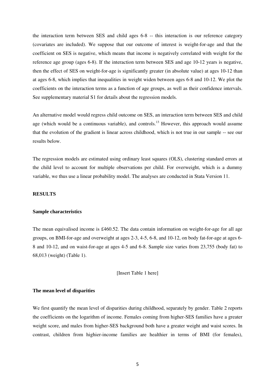the interaction term between SES and child ages 6-8 -- this interaction is our reference category (covariates are included). We suppose that our outcome of interest is weight-for-age and that the coefficient on SES is negative, which means that income is negatively correlated with weight for the reference age group (ages 6-8). If the interaction term between SES and age 10-12 years is negative, then the effect of SES on weight-for-age is significantly greater (in absolute value) at ages 10-12 than at ages 6-8, which implies that inequalities in weight widen between ages 6-8 and 10-12. We plot the coefficients on the interaction terms as a function of age groups, as well as their confidence intervals. See supplementary material S1 for details about the regression models.

An alternative model would regress child outcome on SES, an interaction term between SES and child age (which would be a continuous variable), and controls.<sup>13</sup> However, this approach would assume that the evolution of the gradient is linear across childhood, which is not true in our sample -- see our results below.

The regression models are estimated using ordinary least squares (OLS), clustering standard errors at the child level to account for multiple observations per child. For overweight, which is a dummy variable, we thus use a linear probability model. The analyses are conducted in Stata Version 11.

#### **RESULTS**

#### **Sample characteristics**

The mean equivalised income is  $\text{\pounds}460.52$ . The data contain information on weight-for-age for all age groups, on BMI-for-age and overweight at ages 2-3, 4-5, 6-8, and 10-12, on body fat-for-age at ages 6- 8 and 10-12, and on waist-for-age at ages 4-5 and 6-8. Sample size varies from 23,755 (body fat) to 68,013 (weight) (Table 1).

#### [Insert Table 1 here]

#### **The mean level of disparities**

We first quantify the mean level of disparities during childhood, separately by gender. Table 2 reports the coefficients on the logarithm of income. Females coming from higher-SES families have a greater weight score, and males from higher-SES background both have a greater weight and waist scores. In contrast, children from highier-income families are healthier in terms of BMI (for females),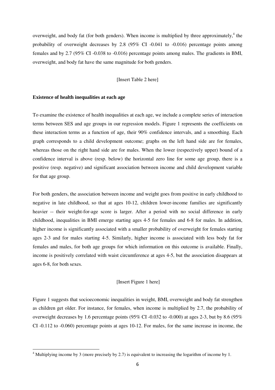overweight, and body fat (for both genders). When income is multiplied by three approximately,<sup>4</sup> the probability of overweight decreases by 2.8  $(95\% \text{ CI } -0.041 \text{ to } -0.016)$  percentage points among females and by 2.7 (95% CI -0.038 to -0.016) percentage points among males. The gradients in BMI, overweight, and body fat have the same magnitude for both genders.

#### [Insert Table 2 here]

#### **Existence of health inequalities at each age**

l

To examine the existence of health inequalities at each age, we include a complete series of interaction terms between SES and age groups in our regression models. Figure 1 represents the coefficients on these interaction terms as a function of age, their 90% confidence intervals, and a smoothing. Each graph corresponds to a child development outcome; graphs on the left hand side are for females, whereas those on the right hand side are for males. When the lower (respectively upper) bound of a confidence interval is above (resp. below) the horizontal zero line for some age group, there is a positive (resp. negative) and significant association between income and child development variable for that age group.

For both genders, the association between income and weight goes from positive in early childhood to negative in late childhood, so that at ages 10-12, children lower-income families are significantly heavier -- their weight-for-age score is larger. After a period with no social difference in early childhood, inequalities in BMI emerge starting ages 4-5 for females and 6-8 for males. In addition, higher income is significantly associated with a smaller probability of overweight for females starting ages 2-3 and for males starting 4-5. Similarly, higher income is associated with less body fat for females and males, for both age groups for which information on this outcome is available. Finally, income is positively correlated with waist circumference at ages 4-5, but the association disappears at ages 6-8, for both sexes.

#### [Insert Figure 1 here]

Figure 1 suggests that socioeconomic inequalities in weight, BMI, overweight and body fat strengthen as children get older. For instance, for females, when income is multiplied by 2.7, the probability of overweight decreases by 1.6 percentage points (95% CI -0.032 to -0.000) at ages 2-3, but by 8.6 (95% CI -0.112 to -0.060) percentage points at ages 10-12. For males, for the same increase in income, the

<sup>&</sup>lt;sup>4</sup> Multiplying income by 3 (more precisely by 2.7) is equivalent to increasing the logarithm of income by 1.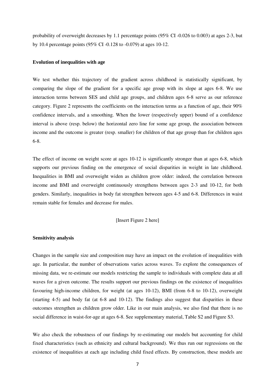probability of overweight decreases by 1.1 percentage points (95% CI -0.026 to 0.003) at ages 2-3, but by 10.4 percentage points (95% CI -0.128 to -0.079) at ages 10-12.

#### **Evolution of inequalities with age**

We test whether this trajectory of the gradient across childhood is statistically significant, by comparing the slope of the gradient for a specific age group with its slope at ages 6-8. We use interaction terms between SES and child age groups, and children ages 6-8 serve as our reference category. Figure 2 represents the coefficients on the interaction terms as a function of age, their 90% confidence intervals, and a smoothing. When the lower (respectively upper) bound of a confidence interval is above (resp. below) the horizontal zero line for some age group, the association between income and the outcome is greater (resp. smaller) for children of that age group than for children ages 6-8.

The effect of income on weight score at ages 10-12 is significantly stronger than at ages 6-8, which supports our previous finding on the emergence of social disparities in weight in late childhood. Inequalities in BMI and overweight widen as children grow older: indeed, the correlation between income and BMI and overweight continuously strengthens between ages 2-3 and 10-12, for both genders. Similarly, inequalities in body fat strengthen between ages 4-5 and 6-8. Differences in waist remain stable for females and decrease for males.

#### [Insert Figure 2 here]

#### **Sensitivity analysis**

Changes in the sample size and composition may have an impact on the evolution of inequalities with age. In particular, the number of observations varies across waves. To explore the consequences of missing data, we re-estimate our models restricting the sample to individuals with complete data at all waves for a given outcome. The results support our previous findings on the existence of inequalities favouring high-income children, for weight (at ages 10-12), BMI (from 6-8 to 10-12), overweight (starting 4-5) and body fat (at 6-8 and 10-12). The findings also suggest that disparities in these outcomes strengthen as children grow older. Like in our main analysis, we also find that there is no social difference in waist-for-age at ages 6-8. See supplementary material, Table S2 and Figure S3.

We also check the robustness of our findings by re-estimating our models but accounting for child fixed characteristics (such as ethnicity and cultural background). We thus run our regressions on the existence of inequalities at each age including child fixed effects. By construction, these models are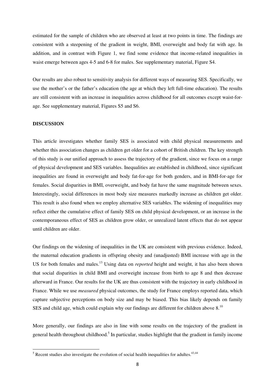estimated for the sample of children who are observed at least at two points in time. The findings are consistent with a steepening of the gradient in weight, BMI, overweight and body fat with age. In addition, and in contrast with Figure 1, we find some evidence that income-related inequalities in waist emerge between ages 4-5 and 6-8 for males. See supplementary material, Figure S4.

Our results are also robust to sensitivity analysis for different ways of measuring SES. Specifically, we use the mother's or the father's education (the age at which they left full-time education). The results are still consistent with an increase in inequalities across childhood for all outcomes except waist-forage. See supplementary material, Figures S5 and S6.

#### **DISCUSSION**

l

This article investigates whether family SES is associated with child physical measurements and whether this association changes as children get older for a cohort of British children. The key strength of this study is our unified approach to assess the trajectory of the gradient, since we focus on a range of physical development and SES variables. Inequalities are established in childhood, since significant inequalities are found in overweight and body fat-for-age for both genders, and in BMI-for-age for females. Social disparities in BMI, overweight, and body fat have the same magnitude between sexes. Interestingly, social differences in most body size measures markedly increase as children get older. This result is also found when we employ alternative SES variables. The widening of inequalities may reflect either the cumulative effect of family SES on child physical development, or an increase in the contemporaneous effect of SES as children grow older, or unrealized latent effects that do not appear until children are older.

Our findings on the widening of inequalities in the UK are consistent with previous evidence. Indeed, the maternal education gradients in offspring obesity and (unadjusted) BMI increase with age in the US for both females and males.<sup>13</sup> Using data on *reported* height and weight, it has also been shown that social disparities in child BMI and overweight increase from birth to age 8 and then decrease afterward in France. Our results for the UK are thus consistent with the trajectory in early childhood in France. While we use *measured* physical outcomes, the study for France employs reported data, which capture subjective perceptions on body size and may be biased. This bias likely depends on family SES and child age, which could explain why our findings are different for children above  $8$ .<sup>10</sup>

More generally, our findings are also in line with some results on the trajectory of the gradient in general health throughout childhood.<sup>5</sup> In particular, studies highlight that the gradient in family income

 $<sup>5</sup>$  Recent studies also investigate the evolution of social health inequalities for adultes.<sup>43,44</sup></sup>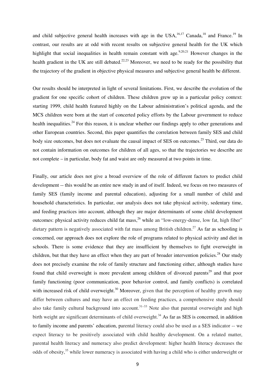and child subjective general health increases with age in the USA, $^{16,17}$  Canada, $^{18}$  and France.<sup>19</sup> In contrast, our results are at odd with recent results on subjective general health for the UK which highlight that social inequalities in health remain constant with age.<sup>9,20,21</sup> However changes in the health gradient in the UK are still debated.<sup>22,23</sup> Moreover, we need to be ready for the possibility that the trajectory of the gradient in objective physical measures and subjective general health be different.

Our results should be interpreted in light of several limitations. First, we describe the evolution of the gradient for one specific cohort of children. These children grew up in a particular policy context: starting 1999, child health featured highly on the Labour administration's political agenda, and the MCS children were born at the start of concerted policy efforts by the Labour government to reduce health inequalities.<sup>24</sup> For this reason, it is unclear whether our findings apply to other generations and other European countries. Second, this paper quantifies the correlation between family SES and child body size outcomes, but does not evaluate the causal impact of SES on outcomes.<sup>25</sup> Third, our data do not contain information on outcomes for children of all ages, so that the trajectories we describe are not complete – in particular, body fat and waist are only measured at two points in time.

Finally, our article does not give a broad overview of the role of different factors to predict child development -- this would be an entire new study in and of itself. Indeed, we focus on two measures of family SES (family income and parental education), adjusting for a small number of child and household characteristics. In particular, our analysis does not take physical activity, sedentary time, and feeding practices into account, although they are major determinants of some child development outcomes: physical activity reduces child fat mass,<sup>26</sup> while an "low-energy-dense, low fat, high fiber" dietary pattern is negatively associated with fat mass among British children.<sup>27</sup> As far as schooling is concerned, our approach does not explore the role of programs related to physical activity and diet in schools. There is some evidence that they are insufficient by themselves to fight overweight in children, but that they have an effect when they are part of broader intervention policies.<sup>28</sup> Our study does not precisely examine the role of family structure and functioning either, although studies have found that child overweight is more prevalent among children of divorced parents<sup>29</sup> and that poor family functioning (poor communication, poor behavior control, and family conflicts) is correlated with increased risk of child overweight.<sup>30</sup> Moreover, given that the perception of healthy growth may differ between cultures and may have an effect on feeding practices, a comprehensive study should also take family cultural background into account.<sup>31–33</sup> Note also that parental overweight and high birth weight are significant determinants of child overweight.<sup>34</sup> As far as SES is concerned, in addition to family income and parents' education, parental literacy could also be used as a SES indicator -- we expect literacy to be positively associated with child healthy development. On a related matter, parental health literacy and numeracy also predict development: higher health literacy decreases the odds of obesity,<sup>35</sup> while lower numeracy is associated with having a child who is either underweight or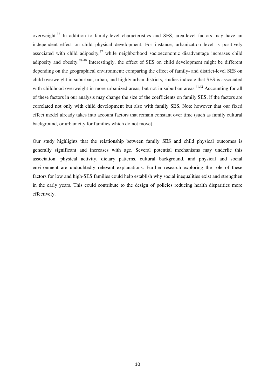overweight.<sup>36</sup> In addition to family-level characteristics and SES, area-level factors may have an independent effect on child physical development. For instance, urbanization level is positively associated with child adiposity, $37$  while neighborhood socioeconomic disadvantage increases child adiposity and obesity.38–40 Interestingly, the effect of SES on child development might be different depending on the geographical environment: comparing the effect of family- and district-level SES on child overweight in suburban, urban, and highly urban districts, studies indicate that SES is associated with childhood overweight in more urbanized areas, but not in suburban areas.<sup>41,42</sup> Accounting for all of these factors in our analysis may change the size of the coefficients on family SES, if the factors are correlated not only with child development but also with family SES. Note however that our fixed effect model already takes into account factors that remain constant over time (such as family cultural background, or urbanicity for families which do not move).

Our study highlights that the relationship between family SES and child physical outcomes is generally significant and increases with age. Several potential mechanisms may underlie this association: physical activity, dietary patterns, cultural background, and physical and social environment are undoubtedly relevant explanations. Further research exploring the role of these factors for low and high-SES families could help establish why social inequalities exist and strengthen in the early years. This could contribute to the design of policies reducing health disparities more effectively.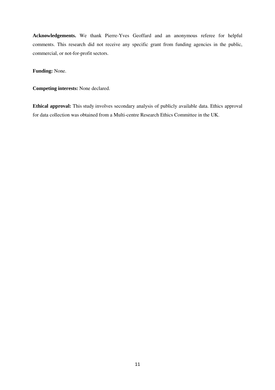**Acknowledgements.** We thank Pierre-Yves Geoffard and an anonymous referee for helpful comments. This research did not receive any specific grant from funding agencies in the public, commercial, or not-for-profit sectors.

**Funding:** None.

**Competing interests:** None declared.

**Ethical approval:** This study involves secondary analysis of publicly available data. Ethics approval for data collection was obtained from a Multi-centre Research Ethics Committee in the UK.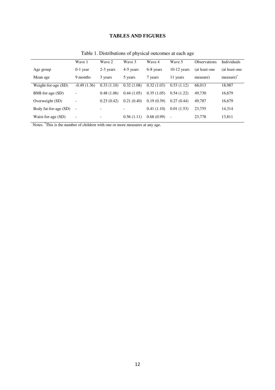## **TABLES AND FIGURES**

|                       | Wave 1                   | Wave 2     | Wave 3     | Wave 4     | Wave 5        | <b>Observations</b> | <b>Individuals</b>    |
|-----------------------|--------------------------|------------|------------|------------|---------------|---------------------|-----------------------|
| Age group             | $0-1$ year               | 2-3 years  | 4-5 years  | 6-8 years  | $10-12$ years | (at least one)      | (at least one)        |
| Mean age              | 9 months                 | 3 years    | 5 years    | 7 years    | 11 years      | measure)            | measure) <sup>*</sup> |
| Weight-for-age (SD)   | $-0.49(1.36)$            | 0.33(1.10) | 0.32(1.08) | 0.32(1.03) | 0.53(1.12)    | 68,013              | 18,987                |
| BMI-for-age (SD)      |                          | 0.48(1.06) | 0.44(1.05) | 0.35(1.05) | 0.54(1.22)    | 49,730              | 16,679                |
| Overweight (SD)       | $\overline{\phantom{0}}$ | 0.23(0.42) | 0.21(0.40) | 0.19(0.39) | 0.27(0.44)    | 49,787              | 16,679                |
| Body fat-for-age (SD) | $\overline{\phantom{a}}$ |            |            | 0.41(1.10) | 0.01(1.53)    | 23,755              | 14,314                |
| Waist-for-age (SD)    | $\overline{\phantom{0}}$ |            | 0.56(1.11) | 0.68(0.99) |               | 23,778              | 13,811                |
|                       |                          |            |            |            |               |                     |                       |

Table 1. Distributions of physical outcomes at each age

Notes. \*This is the number of children with one or more measures at any age.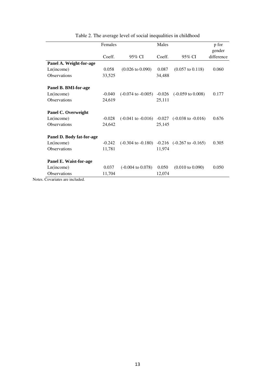|                           | Females  |                                        | Males    |                                        | p for<br>gender |
|---------------------------|----------|----------------------------------------|----------|----------------------------------------|-----------------|
|                           | Coeff.   | 95% CI                                 | Coeff.   | 95% CI                                 | difference      |
| Panel A. Weight-for-age   |          |                                        |          |                                        |                 |
| Ln(income)                | 0.058    | $(0.026 \text{ to } 0.090)$            | 0.087    | $(0.057 \text{ to } 0.118)$            | 0.060           |
| Observations              | 33,525   |                                        | 34,488   |                                        |                 |
| Panel B. BMI-for-age      |          |                                        |          |                                        |                 |
| Ln(income)                | $-0.040$ | $(-0.074 \text{ to } -0.005)$          | $-0.026$ | $(-0.059 \text{ to } 0.008)$           | 0.177           |
| <b>Observations</b>       | 24,619   |                                        | 25,111   |                                        |                 |
| Panel C. Overweight       |          |                                        |          |                                        |                 |
| Ln(income)                | $-0.028$ | $(-0.041 \text{ to } -0.016)$ $-0.027$ |          | $(-0.038 \text{ to } -0.016)$          | 0.676           |
| <b>Observations</b>       | 24,642   |                                        | 25,145   |                                        |                 |
| Panel D. Body fat-for-age |          |                                        |          |                                        |                 |
| Ln(income)                | $-0.242$ | $(-0.304 \text{ to } -0.180)$          |          | $-0.216$ $(-0.267 \text{ to } -0.165)$ | 0.305           |
| <b>Observations</b>       | 11,781   |                                        | 11,974   |                                        |                 |
| Panel E. Waist-for-age    |          |                                        |          |                                        |                 |
| Ln(income)                | 0.037    | $(-0.004 \text{ to } 0.078)$           | 0.050    | $(0.010 \text{ to } 0.090)$            | 0.050           |
| <b>Observations</b>       | 11,704   |                                        | 12,074   |                                        |                 |

Table 2. The average level of social inequalities in childhood

Notes. Covariates are included.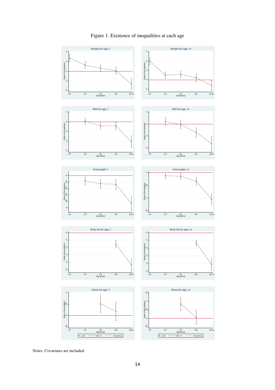

## Figure 1. Existence of inequalities at each age

Notes. Covariates are included.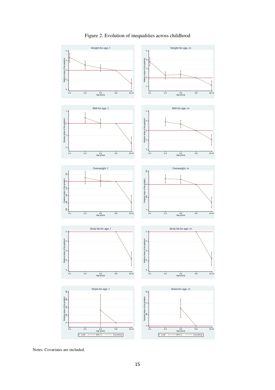

## Figure 2. Evolution of inequalities across childhood

Notes. Covariates are included.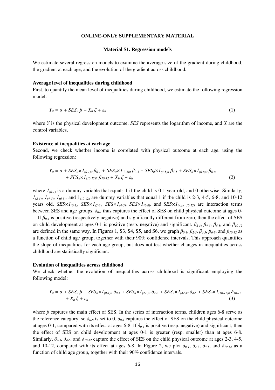#### **Material S1. Regression models**

We estimate several regression models to examine the average size of the gradient during childhood, the gradient at each age, and the evolution of the gradient across childhood.

#### **Average level of inequalities during childhood**

First, to quantify the mean level of inequalities during childhood, we estimate the following regression model:

$$
Y_{it} = \alpha + \text{SES}_{it} \beta + X_{it} \zeta + \varepsilon_{it} \tag{1}
$$

where *Y* is the physical development outcome, *SES* represents the logarithm of income, and *X* are the control variables.

#### **Existence of inequalities at each age**

Second, we check whether income is correlated with physical outcome at each age, using the following regression:

$$
Y_{it} = \alpha + SES_{it} \times I_{(0-1)it} \beta_{0-1} + SES_{it} \times I_{(2-3)it} \beta_{2-3} + SES_{it} \times I_{(4-5)it} \beta_{4-5} + SES_{it} \times I_{(6-8)it} \beta_{6-8} + SES_{it} \times I_{(10-12)it} \beta_{10-12} + X_{it} \zeta + \varepsilon_{it}
$$
\n(2)

where  $I_{(0-1)}$  is a dummy variable that equals 1 if the child is 0-1 year old, and 0 otherwise. Similarly,  $1_{(2-3)}$ ,  $1_{(4-5)}$ ,  $1_{(6-8)}$ , and  $1_{(10-12)}$  are dummy variables that equal 1 if the child is 2-3, 4-5, 6-8, and 10-12 years old.  $SES\times1_{(0-1)}$ ,  $SES\times1_{(2-3)}$ ,  $SES\times1_{(4-5)}$ ,  $SES\times1_{(6-8)}$  and  $SES\times1_{(Age\ 10-12)}$  are interaction terms between SES and age groups.  $\delta_{0-1}$  thus captures the effect of SES on child physical outcome at ages 0-1. If *β0-1* is positive (respectively negative) and significantly different from zero, then the effect of SES on child development at ages 0-1 is positive (resp. negative) and significant. *β2-3*, *β4-5*, *β6-8*, and *β10-12* are defined in the same way. In Figures 1, S3, S4, S5, and S6, we graph *β0-1*, *β2-3*, *β4-5*, *β6-8*, and *β10-12* as a function of child age group, together with their 90% confidence intervals. This approach quantifies the slope of inequalities for each age group, but does not test whether changes in inequalities across childhood are statistically significant.

#### **Evolution of inequalities across childhood**

We check whether the evolution of inequalities across childhood is significant employing the following model:

$$
Y_{it} = \alpha + SES_{it}\beta + SES_{it} \times I_{(0-1)it} \delta_{0-1} + SES_{it} \times I_{(2-3)it} \delta_{2-3} + SES_{it} \times I_{(4-5)it} \delta_{4-5} + SES_{it} \times I_{(10-12)it} \delta_{10-12} + X_{it} \zeta + \varepsilon_{it}
$$
\n(3)

where *β* captures the main effect of SES. In the series of interaction terms, children ages 6-8 serve as the reference category, so  $\delta_{6-8}$  is set to 0.  $\delta_{0-1}$  captures the effect of SES on the child physical outcome at ages 0-1, compared with its effect at ages 6-8. If *δ0-1* is positive (resp. negative) and significant, then the effect of SES on child development at ages 0-1 is greater (resp. smaller) than at ages 6-8. Similarly,  $\delta_{2,3}$ ,  $\delta_{4,5}$ , and  $\delta_{10,12}$  capture the effect of SES on the child physical outcome at ages 2-3, 4-5, and 10-12, compared with its effect at ages 6-8. In Figure 2, we plot  $\delta_{0-1}$ ,  $\delta_{2-3}$ ,  $\delta_{4-5}$ , and  $\delta_{10-12}$  as a function of child age group, together with their 90% confidence intervals.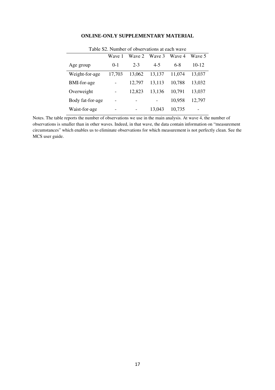|                    | Wave 1 | Wave 2  | Wave 3  | Wave 4 | Wave 5 |
|--------------------|--------|---------|---------|--------|--------|
| Age group          | $0-1$  | $2 - 3$ | $4 - 5$ | $6-8$  | 10-12  |
| Weight-for-age     | 17,703 | 13,062  | 13,137  | 11,074 | 13,037 |
| <b>BMI-for-age</b> |        | 12,797  | 13,113  | 10,788 | 13,032 |
| Overweight         |        | 12,823  | 13,136  | 10,791 | 13,037 |
| Body fat-for-age   |        |         |         | 10,958 | 12,797 |
| Waist-for-age      |        |         | 13,043  | 10,735 |        |

Table S2. Number of observations at each wave

Notes. The table reports the number of observations we use in the main analysis. At wave 4, the number of observations is smaller than in other waves. Indeed, in that wave, the data contain information on "measurement circumstances" which enables us to eliminate observations for which measurement is not perfectly clean. See the MCS user guide.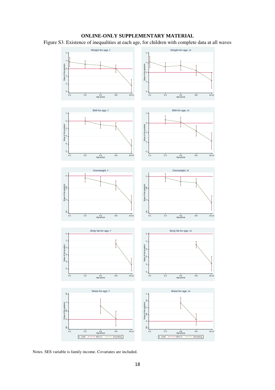Figure S3. Existence of inequalities at each age, for children with complete data at all waves

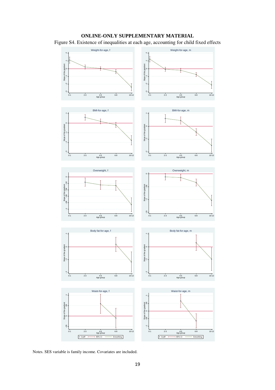

Figure S4. Existence of inequalities at each age, accounting for child fixed effects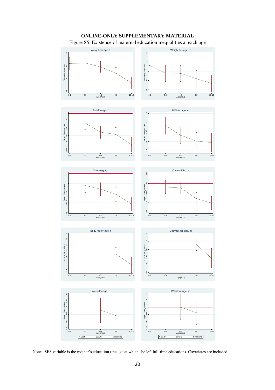

**ONLINE-ONLY SUPPLEMENTARY MATERIAL**

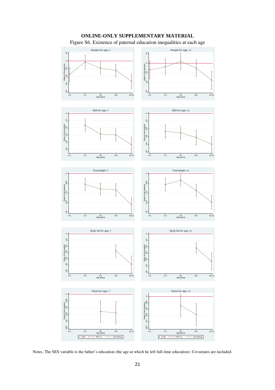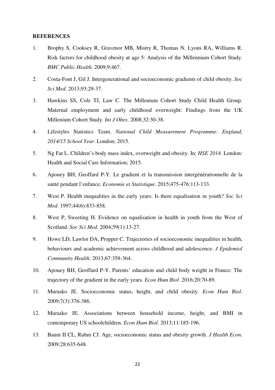#### **REFERENCES**

- 1. Brophy S, Cooksey R, Gravenor MB, Mistry R, Thomas N, Lyons RA, Williams R. Risk factors for childhood obesity at age 5: Analysis of the Millennium Cohort Study. *BMC Public Health*. 2009;9:467.
- 2. Costa-Font J, Gil J. Intergenerational and socioeconomic gradients of child obesity. *Soc Sci Med*. 2013;93:29-37.
- 3. Hawkins SS, Cole TJ, Law C. The Millenium Cohort Study Child Health Group. Maternal employment and early childhood overweight: Findings from the UK Millenium Cohort Study. *Int J Obes*. 2008;32:30-38.
- 4. Lifestyles Statistics Team. *National Child Measurement Programme: England, 2014/15 School Year*. London; 2015.
- 5. Ng Fat L. Children's body mass index, overweight and obesity. In: *HSE 2014*. London: Health and Social Care Information; 2015.
- 6. Apouey BH, Geoffard P-Y. Le gradient et la transmission intergénérationnelle de la santé pendant l'enfance. *Economie et Statistique*. 2015;475-476:113-133.
- 7. West P. Health inequalities in the early years: Is there equalisation in youth? *Soc Sci Med*. 1997;44(6):833-858.
- 8. West P, Sweeting H. Evidence on equalisation in health in youth from the West of Scotland. *Soc Sci Med*. 2004;59(1):13-27.
- 9. Howe LD, Lawlor DA, Propper C. Trajectories of socioeconomic inequalities in health, behaviours and academic achievement across childhood and adolescence. *J Epidemiol Community Health*. 2013;67:358-364.
- 10. Apouey BH, Geoffard P-Y. Parents' education and child body weight in France: The trajectory of the gradient in the early years. *Econ Hum Biol*. 2016;20:70-89.
- 11. Murasko JE. Socioeconomic status, height, and child obesity. *Econ Hum Biol*. 2009;7(3):376-386.
- 12. Murasko JE. Associations between household income, height, and BMI in contemporary US schoolchildren. *Econ Hum Biol*. 2013;11:185-196.
- 13. Baum II CL, Ruhm CJ. Age, socioeconomic status and obesity growth. *J Health Econ*. 2009;28:635-648.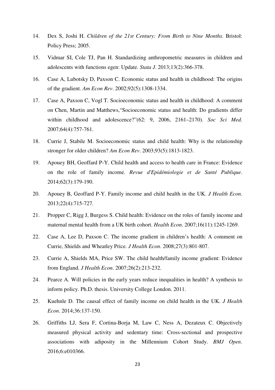- 14. Dex S, Joshi H. *Children of the 21st Century: From Birth to Nine Months*. Bristol: Policy Press; 2005.
- 15. Vidmar SI, Cole TJ, Pan H. Standardizing anthropometric measures in children and adolescents with functions egen: Update. *Stata J*. 2013;13(2):366-378.
- 16. Case A, Lubotsky D, Paxson C. Economic status and health in childhood: The origins of the gradient. *Am Econ Rev*. 2002;92(5):1308-1334.
- 17. Case A, Paxson C, Vogl T. Socioeconomic status and health in childhood: A comment on Chen, Martin and Matthews,"Socioeconomic status and health: Do gradients differ within childhood and adolescence?"(62: 9, 2006, 2161–2170). *Soc Sci Med*. 2007;64(4):757-761.
- 18. Currie J, Stabile M. Socioeconomic status and child health: Why is the relationship stronger for older children? *Am Econ Rev*. 2003;93(5):1813-1823.
- 19. Apouey BH, Geoffard P-Y. Child health and access to health care in France: Evidence on the role of family income. *Revue d'Epidémiologie et de Santé Publique*. 2014;62(3):179-190.
- 20. Apouey B, Geoffard P-Y. Family income and child health in the UK. *J Health Econ*. 2013;22(4):715-727.
- 21. Propper C, Rigg J, Burgess S. Child health: Evidence on the roles of family income and maternal mental health from a UK birth cohort. *Health Econ*. 2007;16(11):1245-1269.
- 22. Case A, Lee D, Paxson C. The income gradient in children's health: A comment on Currie, Shields and Wheatley Price. *J Health Econ*. 2008;27(3):801-807.
- 23. Currie A, Shields MA, Price SW. The child health/family income gradient: Evidence from England. *J Health Econ*. 2007;26(2):213-232.
- 24. Pearce A. Will policies in the early years reduce inequalities in health? A synthesis to inform policy. Ph.D. thesis. University College London. 2011.
- 25. Kuehnle D. The causal effect of family income on child health in the UK. *J Health Econ*. 2014;36:137-150.
- 26. Griffiths LJ, Sera F, Cortina-Borja M, Law C, Ness A, Dezateux C. Objectively measured physical activity and sedentary time: Cross-sectional and prospective associations with adiposity in the Millennium Cohort Study. *BMJ Open*. 2016;6:e010366.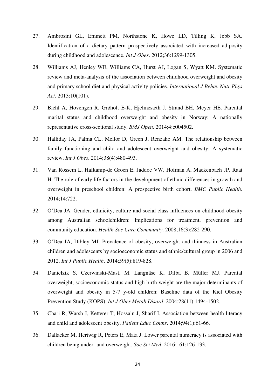- 27. Ambrosini GL, Emmett PM, Northstone K, Howe LD, Tilling K, Jebb SA. Identification of a dietary pattern prospectively associated with increased adiposity during childhood and adolescence. *Int J Obes*. 2012;36:1299-1305.
- 28. Williams AJ, Henley WE, Williams CA, Hurst AJ, Logan S, Wyatt KM. Systematic review and meta-analysis of the association between childhood overweight and obesity and primary school diet and physical activity policies. *International J Behav Nutr Phys Act*. 2013;10(101).
- 29. Biehl A, Hovengen R, Grøholt E-K, Hjelmesæth J, Strand BH, Meyer HE. Parental marital status and childhood overweight and obesity in Norway: A nationally representative cross-sectional study. *BMJ Open*. 2014;4:e004502.
- 30. Halliday JA, Palma CL, Mellor D, Green J, Renzaho AM. The relationship between family functioning and child and adolescent overweight and obesity: A systematic review. *Int J Obes*. 2014;38(4):480-493.
- 31. Van Rossem L, Hafkamp-de Groen E, Jaddoe VW, Hofman A, Mackenbach JP, Raat H. The role of early life factors in the development of ethnic differences in growth and overweight in preschool children: A prospective birth cohort. *BMC Public Health*. 2014;14:722.
- 32. O'Dea JA. Gender, ethnicity, culture and social class influences on childhood obesity among Australian schoolchildren: Implications for treatment, prevention and community education. *Health Soc Care Community*. 2008;16(3):282-290.
- 33. O'Dea JA, Dibley MJ. Prevalence of obesity, overweight and thinness in Australian children and adolescents by socioeconomic status and ethnic/cultural group in 2006 and 2012. *Int J Public Health*. 2014;59(5):819-828.
- 34. Danielzik S, Czerwinski-Mast, M. Langnäse K, Dilba B, Müller MJ. Parental overweight, socioeconomic status and high birth weight are the major determinants of overweight and obesity in 5-7 y-old children: Baseline data of the Kiel Obesity Prevention Study (KOPS). *Int J Obes Metab Disord*. 2004;28(11):1494-1502.
- 35. Chari R, Warsh J, Ketterer T, Hossain J, Sharif I. Association between health literacy and child and adolescent obesity. *Patient Educ Couns*. 2014;94(1):61-66.
- 36. Dallacker M, Hertwig R, Peters E, Mata J. Lower parental numeracy is associated with children being under- and overweight. *Soc Sci Med*. 2016;161:126-133.